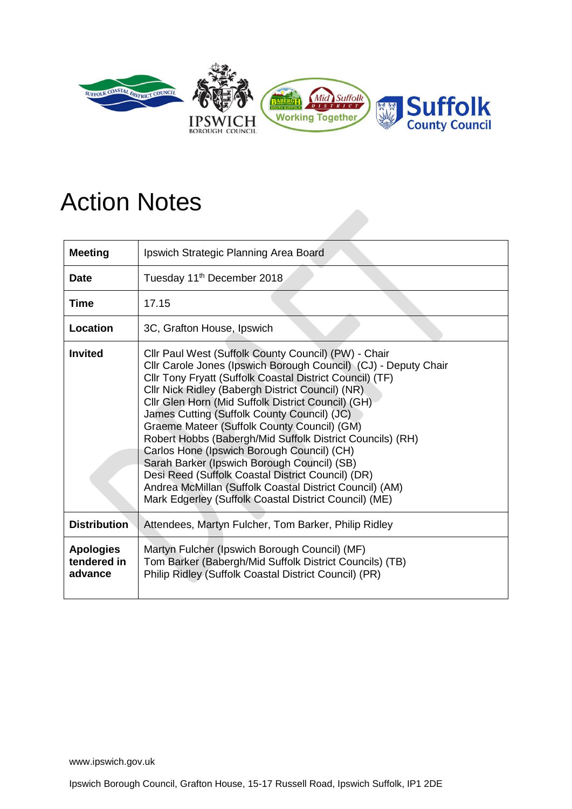

## Action Notes

| <b>Meeting</b>                             | Ipswich Strategic Planning Area Board                                                                                                                                                                                                                                                                                                                                                                                                                                                                                                                                                                                                                                                                                           |
|--------------------------------------------|---------------------------------------------------------------------------------------------------------------------------------------------------------------------------------------------------------------------------------------------------------------------------------------------------------------------------------------------------------------------------------------------------------------------------------------------------------------------------------------------------------------------------------------------------------------------------------------------------------------------------------------------------------------------------------------------------------------------------------|
| <b>Date</b>                                | Tuesday 11 <sup>th</sup> December 2018                                                                                                                                                                                                                                                                                                                                                                                                                                                                                                                                                                                                                                                                                          |
| <b>Time</b>                                | 17.15                                                                                                                                                                                                                                                                                                                                                                                                                                                                                                                                                                                                                                                                                                                           |
| Location                                   | 3C, Grafton House, Ipswich                                                                                                                                                                                                                                                                                                                                                                                                                                                                                                                                                                                                                                                                                                      |
| <b>Invited</b>                             | Cllr Paul West (Suffolk County Council) (PW) - Chair<br>Cllr Carole Jones (Ipswich Borough Council) (CJ) - Deputy Chair<br>Cllr Tony Fryatt (Suffolk Coastal District Council) (TF)<br>Cllr Nick Ridley (Babergh District Council) (NR).<br>Cllr Glen Horn (Mid Suffolk District Council) (GH)<br>James Cutting (Suffolk County Council) (JC)<br>Graeme Mateer (Suffolk County Council) (GM)<br>Robert Hobbs (Babergh/Mid Suffolk District Councils) (RH)<br>Carlos Hone (Ipswich Borough Council) (CH)<br>Sarah Barker (Ipswich Borough Council) (SB)<br>Desi Reed (Suffolk Coastal District Council) (DR)<br>Andrea McMillan (Suffolk Coastal District Council) (AM)<br>Mark Edgerley (Suffolk Coastal District Council) (ME) |
| <b>Distribution</b>                        | Attendees, Martyn Fulcher, Tom Barker, Philip Ridley                                                                                                                                                                                                                                                                                                                                                                                                                                                                                                                                                                                                                                                                            |
| <b>Apologies</b><br>tendered in<br>advance | Martyn Fulcher (Ipswich Borough Council) (MF)<br>Tom Barker (Babergh/Mid Suffolk District Councils) (TB)<br>Philip Ridley (Suffolk Coastal District Council) (PR)                                                                                                                                                                                                                                                                                                                                                                                                                                                                                                                                                               |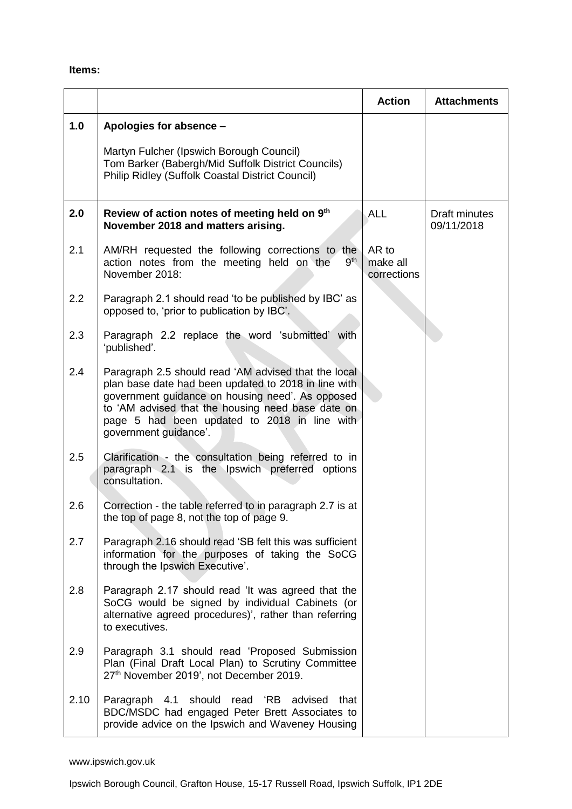## **Items:**

|      |                                                                                                                                                                                                                                                                                                | <b>Action</b>                    | <b>Attachments</b>          |
|------|------------------------------------------------------------------------------------------------------------------------------------------------------------------------------------------------------------------------------------------------------------------------------------------------|----------------------------------|-----------------------------|
| 1.0  | Apologies for absence -                                                                                                                                                                                                                                                                        |                                  |                             |
|      | Martyn Fulcher (Ipswich Borough Council)<br>Tom Barker (Babergh/Mid Suffolk District Councils)<br><b>Philip Ridley (Suffolk Coastal District Council)</b>                                                                                                                                      |                                  |                             |
| 2.0  | Review of action notes of meeting held on 9th<br>November 2018 and matters arising.                                                                                                                                                                                                            | <b>ALL</b>                       | Draft minutes<br>09/11/2018 |
| 2.1  | AM/RH requested the following corrections to the<br>9 <sup>th</sup><br>action notes from the meeting held on the<br>November 2018:                                                                                                                                                             | AR to<br>make all<br>corrections |                             |
| 2.2  | Paragraph 2.1 should read 'to be published by IBC' as<br>opposed to, 'prior to publication by IBC'.                                                                                                                                                                                            |                                  |                             |
| 2.3  | Paragraph 2.2 replace the word 'submitted' with<br>'published'.                                                                                                                                                                                                                                |                                  |                             |
| 2.4  | Paragraph 2.5 should read 'AM advised that the local<br>plan base date had been updated to 2018 in line with<br>government guidance on housing need'. As opposed<br>to 'AM advised that the housing need base date on<br>page 5 had been updated to 2018 in line with<br>government guidance'. |                                  |                             |
| 2.5  | Clarification - the consultation being referred to in<br>paragraph 2.1 is the Ipswich preferred options<br>consultation.                                                                                                                                                                       |                                  |                             |
| 2.6  | Correction - the table referred to in paragraph 2.7 is at<br>the top of page 8, not the top of page 9.                                                                                                                                                                                         |                                  |                             |
| 2.7  | Paragraph 2.16 should read 'SB felt this was sufficient<br>information for the purposes of taking the SoCG<br>through the Ipswich Executive'.                                                                                                                                                  |                                  |                             |
| 2.8  | Paragraph 2.17 should read 'It was agreed that the<br>SoCG would be signed by individual Cabinets (or<br>alternative agreed procedures)', rather than referring<br>to executives.                                                                                                              |                                  |                             |
| 2.9  | Paragraph 3.1 should read 'Proposed Submission<br>Plan (Final Draft Local Plan) to Scrutiny Committee<br>27th November 2019', not December 2019.                                                                                                                                               |                                  |                             |
| 2.10 | Paragraph 4.1 should<br>'RB<br>read<br>advised<br>that<br>BDC/MSDC had engaged Peter Brett Associates to<br>provide advice on the Ipswich and Waveney Housing                                                                                                                                  |                                  |                             |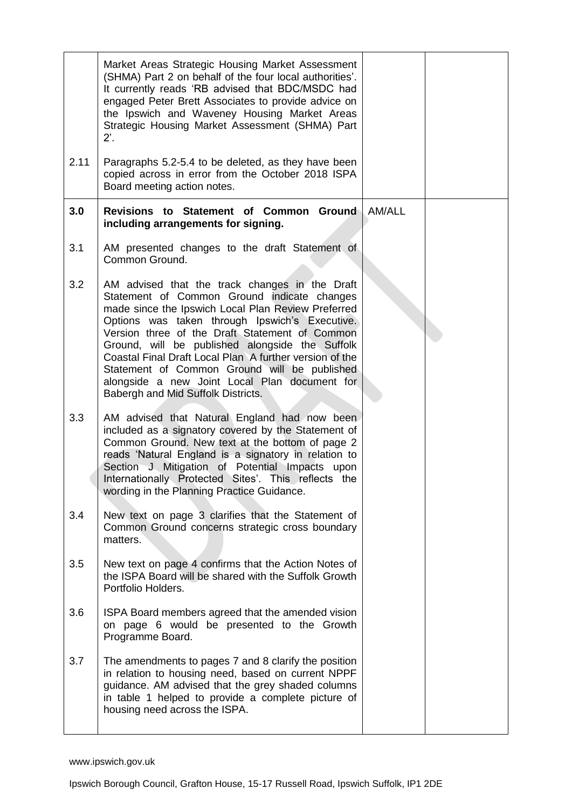|      | Market Areas Strategic Housing Market Assessment<br>(SHMA) Part 2 on behalf of the four local authorities'.<br>It currently reads 'RB advised that BDC/MSDC had<br>engaged Peter Brett Associates to provide advice on<br>the Ipswich and Waveney Housing Market Areas<br>Strategic Housing Market Assessment (SHMA) Part<br>$2^{\prime}$ .                                                                                                                                                                  |        |  |
|------|--------------------------------------------------------------------------------------------------------------------------------------------------------------------------------------------------------------------------------------------------------------------------------------------------------------------------------------------------------------------------------------------------------------------------------------------------------------------------------------------------------------|--------|--|
| 2.11 | Paragraphs 5.2-5.4 to be deleted, as they have been<br>copied across in error from the October 2018 ISPA<br>Board meeting action notes.                                                                                                                                                                                                                                                                                                                                                                      |        |  |
| 3.0  | Revisions to Statement of Common Ground<br>including arrangements for signing.                                                                                                                                                                                                                                                                                                                                                                                                                               | AM/ALL |  |
| 3.1  | AM presented changes to the draft Statement of<br>Common Ground.                                                                                                                                                                                                                                                                                                                                                                                                                                             |        |  |
| 3.2  | AM advised that the track changes in the Draft<br>Statement of Common Ground indicate changes<br>made since the Ipswich Local Plan Review Preferred<br>Options was taken through Ipswich's Executive.<br>Version three of the Draft Statement of Common<br>Ground, will be published alongside the Suffolk<br>Coastal Final Draft Local Plan A further version of the<br>Statement of Common Ground will be published<br>alongside a new Joint Local Plan document for<br>Babergh and Mid Suffolk Districts. |        |  |
| 3.3  | AM advised that Natural England had now been<br>included as a signatory covered by the Statement of<br>Common Ground. New text at the bottom of page 2<br>reads 'Natural England is a signatory in relation to<br>Section J Mitigation of Potential Impacts upon<br>Internationally Protected Sites'. This reflects the<br>wording in the Planning Practice Guidance.                                                                                                                                        |        |  |
| 3.4  | New text on page 3 clarifies that the Statement of<br>Common Ground concerns strategic cross boundary<br>matters.                                                                                                                                                                                                                                                                                                                                                                                            |        |  |
| 3.5  | New text on page 4 confirms that the Action Notes of<br>the ISPA Board will be shared with the Suffolk Growth<br>Portfolio Holders.                                                                                                                                                                                                                                                                                                                                                                          |        |  |
| 3.6  | ISPA Board members agreed that the amended vision<br>on page 6 would be presented to the Growth<br>Programme Board.                                                                                                                                                                                                                                                                                                                                                                                          |        |  |
| 3.7  | The amendments to pages 7 and 8 clarify the position<br>in relation to housing need, based on current NPPF<br>guidance. AM advised that the grey shaded columns<br>in table 1 helped to provide a complete picture of<br>housing need across the ISPA.                                                                                                                                                                                                                                                       |        |  |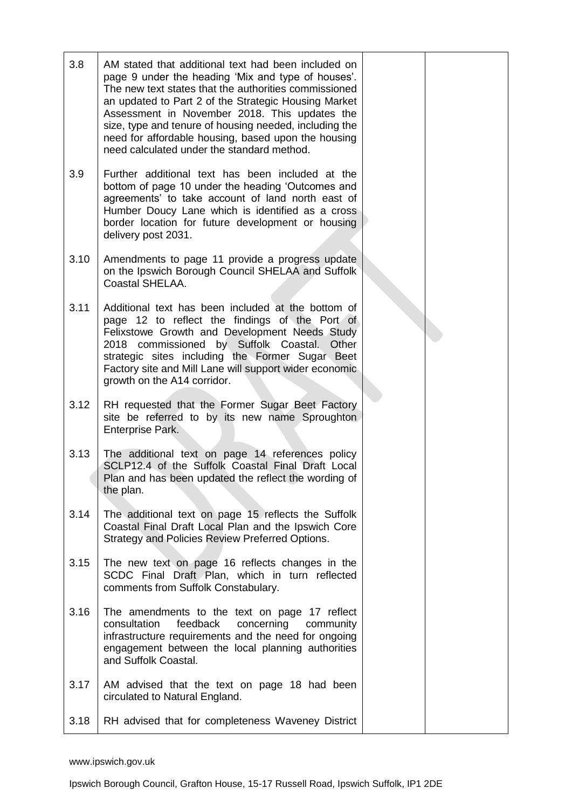| 3.8  | AM stated that additional text had been included on<br>page 9 under the heading 'Mix and type of houses'.<br>The new text states that the authorities commissioned<br>an updated to Part 2 of the Strategic Housing Market<br>Assessment in November 2018. This updates the<br>size, type and tenure of housing needed, including the<br>need for affordable housing, based upon the housing<br>need calculated under the standard method. |  |
|------|--------------------------------------------------------------------------------------------------------------------------------------------------------------------------------------------------------------------------------------------------------------------------------------------------------------------------------------------------------------------------------------------------------------------------------------------|--|
| 3.9  | Further additional text has been included at the<br>bottom of page 10 under the heading 'Outcomes and<br>agreements' to take account of land north east of<br>Humber Doucy Lane which is identified as a cross<br>border location for future development or housing<br>delivery post 2031.                                                                                                                                                 |  |
| 3.10 | Amendments to page 11 provide a progress update<br>on the Ipswich Borough Council SHELAA and Suffolk<br><b>Coastal SHELAA.</b>                                                                                                                                                                                                                                                                                                             |  |
| 3.11 | Additional text has been included at the bottom of<br>page 12 to reflect the findings of the Port of<br>Felixstowe Growth and Development Needs Study<br>2018 commissioned by Suffolk Coastal. Other<br>strategic sites including the Former Sugar Beet<br>Factory site and Mill Lane will support wider economic<br>growth on the A14 corridor.                                                                                           |  |
| 3.12 | RH requested that the Former Sugar Beet Factory<br>site be referred to by its new name Sproughton<br>Enterprise Park.                                                                                                                                                                                                                                                                                                                      |  |
| 3.13 | The additional text on page 14 references policy<br>SCLP12.4 of the Suffolk Coastal Final Draft Local<br>Plan and has been updated the reflect the wording of<br>the plan.                                                                                                                                                                                                                                                                 |  |
| 3.14 | The additional text on page 15 reflects the Suffolk<br>Coastal Final Draft Local Plan and the Ipswich Core<br>Strategy and Policies Review Preferred Options.                                                                                                                                                                                                                                                                              |  |
| 3.15 | The new text on page 16 reflects changes in the<br>SCDC Final Draft Plan, which in turn reflected<br>comments from Suffolk Constabulary.                                                                                                                                                                                                                                                                                                   |  |
| 3.16 | The amendments to the text on page 17 reflect<br>feedback<br>consultation<br>concerning<br>community<br>infrastructure requirements and the need for ongoing<br>engagement between the local planning authorities<br>and Suffolk Coastal.                                                                                                                                                                                                  |  |
| 3.17 | AM advised that the text on page 18 had been<br>circulated to Natural England.                                                                                                                                                                                                                                                                                                                                                             |  |
| 3.18 | RH advised that for completeness Waveney District                                                                                                                                                                                                                                                                                                                                                                                          |  |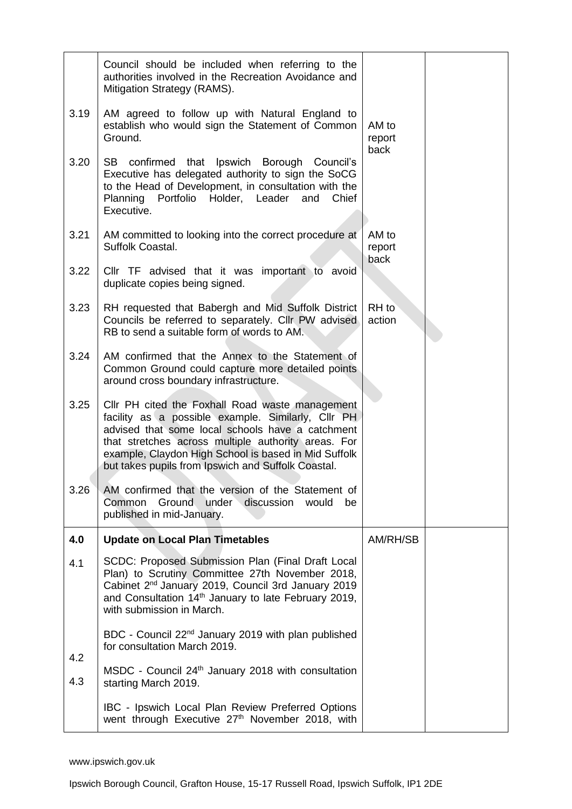|      | Council should be included when referring to the<br>authorities involved in the Recreation Avoidance and<br>Mitigation Strategy (RAMS).                                                                                                                                                                                        |                         |  |
|------|--------------------------------------------------------------------------------------------------------------------------------------------------------------------------------------------------------------------------------------------------------------------------------------------------------------------------------|-------------------------|--|
| 3.19 | AM agreed to follow up with Natural England to<br>establish who would sign the Statement of Common<br>Ground.                                                                                                                                                                                                                  | AM to<br>report<br>back |  |
| 3.20 | that Ipswich Borough Council's<br>SB confirmed<br>Executive has delegated authority to sign the SoCG<br>to the Head of Development, in consultation with the<br>Planning Portfolio Holder, Leader<br>and<br>Chief<br>Executive.                                                                                                |                         |  |
| 3.21 | AM committed to looking into the correct procedure at<br>Suffolk Coastal.                                                                                                                                                                                                                                                      | AM to<br>report<br>back |  |
| 3.22 | Cllr TF advised that it was important to avoid<br>duplicate copies being signed.                                                                                                                                                                                                                                               |                         |  |
| 3.23 | RH requested that Babergh and Mid Suffolk District<br>Councils be referred to separately. Cllr PW advised<br>RB to send a suitable form of words to AM.                                                                                                                                                                        | RH to<br>action         |  |
| 3.24 | AM confirmed that the Annex to the Statement of<br>Common Ground could capture more detailed points<br>around cross boundary infrastructure.                                                                                                                                                                                   |                         |  |
| 3.25 | Cllr PH cited the Foxhall Road waste management<br>facility as a possible example. Similarly, Cllr PH<br>advised that some local schools have a catchment<br>that stretches across multiple authority areas. For<br>example, Claydon High School is based in Mid Suffolk<br>but takes pupils from Ipswich and Suffolk Coastal. |                         |  |
| 3.26 | AM confirmed that the version of the Statement of<br>Common<br><b>Ground</b><br>under discussion<br>would<br>be<br>published in mid-January.                                                                                                                                                                                   |                         |  |
| 4.0  | <b>Update on Local Plan Timetables</b>                                                                                                                                                                                                                                                                                         | AM/RH/SB                |  |
| 4.1  | SCDC: Proposed Submission Plan (Final Draft Local<br>Plan) to Scrutiny Committee 27th November 2018,<br>Cabinet 2 <sup>nd</sup> January 2019, Council 3rd January 2019<br>and Consultation 14 <sup>th</sup> January to late February 2019,<br>with submission in March.                                                        |                         |  |
| 4.2  | BDC - Council 22 <sup>nd</sup> January 2019 with plan published<br>for consultation March 2019.                                                                                                                                                                                                                                |                         |  |
| 4.3  | MSDC - Council 24 <sup>th</sup> January 2018 with consultation<br>starting March 2019.                                                                                                                                                                                                                                         |                         |  |
|      | IBC - Ipswich Local Plan Review Preferred Options<br>went through Executive 27 <sup>th</sup> November 2018, with                                                                                                                                                                                                               |                         |  |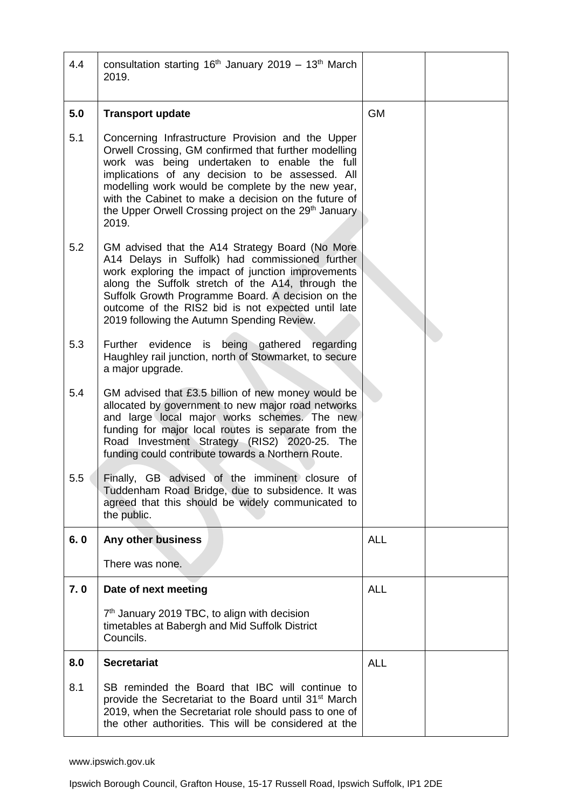| 4.4 | consultation starting $16th$ January 2019 – 13 <sup>th</sup> March<br>2019.                                                                                                                                                                                                                                                                                                                              |            |  |
|-----|----------------------------------------------------------------------------------------------------------------------------------------------------------------------------------------------------------------------------------------------------------------------------------------------------------------------------------------------------------------------------------------------------------|------------|--|
| 5.0 | <b>Transport update</b>                                                                                                                                                                                                                                                                                                                                                                                  | <b>GM</b>  |  |
| 5.1 | Concerning Infrastructure Provision and the Upper<br>Orwell Crossing, GM confirmed that further modelling<br>work was being undertaken to enable the full<br>implications of any decision to be assessed. All<br>modelling work would be complete by the new year,<br>with the Cabinet to make a decision on the future of<br>the Upper Orwell Crossing project on the 29 <sup>th</sup> January<br>2019. |            |  |
| 5.2 | GM advised that the A14 Strategy Board (No More<br>A14 Delays in Suffolk) had commissioned further<br>work exploring the impact of junction improvements<br>along the Suffolk stretch of the A14, through the<br>Suffolk Growth Programme Board. A decision on the<br>outcome of the RIS2 bid is not expected until late<br>2019 following the Autumn Spending Review.                                   |            |  |
| 5.3 | Further evidence is being gathered<br>regarding<br>Haughley rail junction, north of Stowmarket, to secure<br>a major upgrade.                                                                                                                                                                                                                                                                            |            |  |
| 5.4 | GM advised that £3.5 billion of new money would be<br>allocated by government to new major road networks<br>and large local major works schemes. The new<br>funding for major local routes is separate from the<br>Road Investment Strategy (RIS2) 2020-25. The<br>funding could contribute towards a Northern Route.                                                                                    |            |  |
| 5.5 | Finally, GB advised of the imminent closure of<br>Tuddenham Road Bridge, due to subsidence. It was<br>agreed that this should be widely communicated to<br>the public.                                                                                                                                                                                                                                   |            |  |
| 6.0 | Any other business                                                                                                                                                                                                                                                                                                                                                                                       | <b>ALL</b> |  |
|     | There was none.                                                                                                                                                                                                                                                                                                                                                                                          |            |  |
| 7.0 | Date of next meeting                                                                                                                                                                                                                                                                                                                                                                                     | <b>ALL</b> |  |
|     | 7 <sup>th</sup> January 2019 TBC, to align with decision<br>timetables at Babergh and Mid Suffolk District<br>Councils.                                                                                                                                                                                                                                                                                  |            |  |
| 8.0 | <b>Secretariat</b>                                                                                                                                                                                                                                                                                                                                                                                       | <b>ALL</b> |  |
| 8.1 | SB reminded the Board that IBC will continue to<br>provide the Secretariat to the Board until 31 <sup>st</sup> March<br>2019, when the Secretariat role should pass to one of<br>the other authorities. This will be considered at the                                                                                                                                                                   |            |  |

Ipswich Borough Council, Grafton House, 15-17 Russell Road, Ipswich Suffolk, IP1 2DE